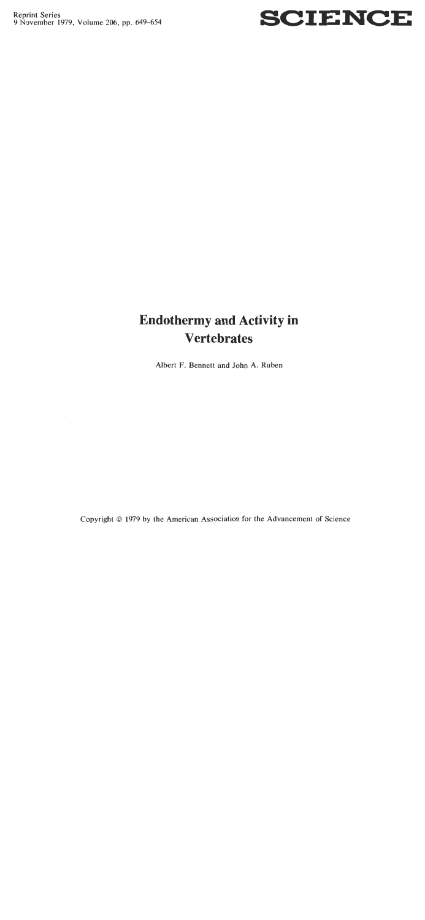Reprint Series<br>9 November 1979, Volume 206, pp. 649–654



# **Endothermy and Activity in Vertebrates**

**Albert F. Bennett and John A. Ruben** 

**Copyright** *O* **1979 by the American Association for the Advancement of Science**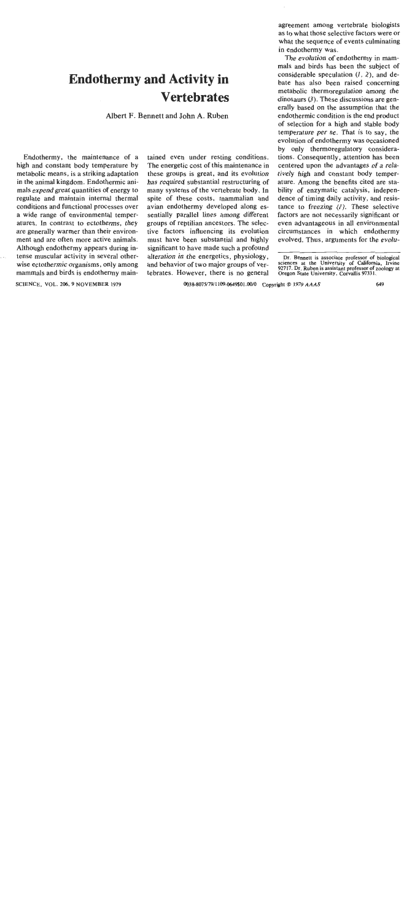## **Endothermy and Activity in Vertebrates**

**Albert F. Bennett and John A. Ruben** 

Endothermy, the maintenance of a high and constant body temperature by metabolic means, is a striking adaptation in the animal kingdom. Endothermic animals expend great quantities of energy to regulate and maintain internal thermal conditions and functional processes over a wide range of environmental temperatures. In contrast to ectotherms, they are generally warmer than their environment and are often more active animals. Although endothermy appears during intense muscular activity in several otherwise ectothermic organisms, only among mammals and birds is endothermy maintained even under resting conditions. The energetic cost of this maintenance in these groups is great, and its evolution has required substantial restructuring of many systems of the vertebrate body. In spite of these costs, mammalian and avian endothermy developed along essentially parallel lines among different groups of reptilian ancestors. The selective factors influencing its evolution must have been substantial and highly significant to have made such a profound alteration in the energetics, physiology, and behavior of two major groups of vertebrates. However, there is no general

agreement among vertebrate biologists as to what those selective factors were or what the sequence of events culminating in endothermy was.

The evolution of endothermy in mammals and birds has been the subject of considerable speculation *(1,* 2), and debate has also been raised concerning metabolic thermoregulation among the dinosaurs  $(3)$ . These discussions are generally based on the assumption that the endothermic condition is the end product of selection for a high and stable body temperature per se. That is to say, the evolution of endothermy was occasioned by only thermoregulatory considerations. Consequently, attention has been centered upon the advantages of a relatively high and constant body temperature. Among the benefits cited are stability of enzymatic catalysis, independence of timing daily activity, and resistance to freezing *(I).* These selective factors are not necessarily significant or even advantageous in all environmental circumstances in which endothermy evolved. Thus, arguments for the evolu-

**Dr. Bennett is associate professor of biological sciences at the University of California. Iwine 92717. Dr. Ruben is assistant professor of zoology at**  Oregon State University, Corvallis 97331.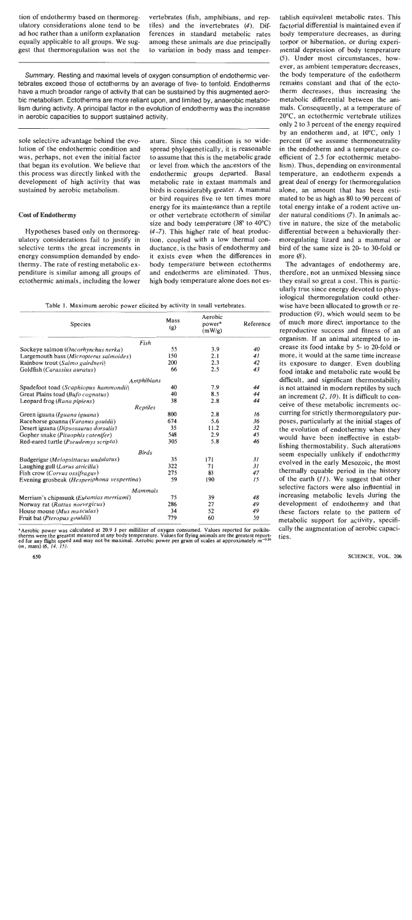tion of endothermy based on thermoreg-<br>ulatory considerations alone tend to be tiles) and the invertebrates (4). Difad hoc rather than a uniform explanation equally applicable to all groups. We sug-

tiles) and the invertebrates  $(4)$ . Dif-<br>ferences in standard metabolic rates equally applicable to all groups. We sug- among these animals are due principally gest that thermoregulation was not the to variation in body mass and temperto variation in body mass and temper-

**Summary. Resting and maximal levels of oxygen consumption of endothermic vertebrates exceed those of ectotherms by an average of five- to tenfold. Endotherms have a much broader range of activity that can be sustained by this augmented aerobic metabolism. Ectotherms are more reliant upon, and limited by, anaerobic metabolism during activity. A principal factor in the evolution of endothermy was the increase in aerobic capacities to support sustained activity.** 

sole selective advantage behind the evolution of the endothermic condition and was, perhaps, not even the initial factor that began its evolution. We believe that this process was directly linked with the development of high activity that was sustained by aerobic metabolism.

## Cost of Endothermy

Hypotheses based only on thermoregulatory considerations fail to justify in selective terms the great increments in energy consumption demanded by endothermy. The rate of resting metabolic expenditure is similar among all groups of ectothermic animals, including the lower

ature. Since this condition is so widespread phylogenetically, it is reasonable to assume that this is the metabolic grade or level from which the ancestors of the endothermic groups departed. Basal metabolic rate in extant mammals and birds is considerably greater. **A** mammal or bird requires five to ten times more energy for its maintenance than a reptile or othet vertebrate ectothem of similar size and body temperature  $(38^{\circ}$  to  $40^{\circ}$ C) (4-7). This higher rate of heat production, coupled with a low thermal conductance, is the basis of endothermy and it exists even when the differences in body temperature between ectotherms and endotherms are eliminated. Thus, high body temperature alone does not es-

**Table 1. Maximum aerobic power elicited by activity in small vertebrates.** 

| Species                                       | Mass<br>(g) | Aerobic<br>power*<br>(mW/g) | Reference |
|-----------------------------------------------|-------------|-----------------------------|-----------|
| Fish                                          |             |                             |           |
| Sockeye salmon (Oncorhynchus nerka)           | 55          | 3.9                         | 40        |
| Largemouth bass (Micropterus salmoides)       | 150         | 2.1                         | 41        |
| Rainbow trout (Salmo gairdneri)               | 200         | 2.3                         | 42        |
| Goldfish (Carassius auratus)                  | 66          | 2.5                         | 43        |
| Amphibians                                    |             |                             |           |
| Spadefoot toad (Scaphiopus hammondii)         | 40          | 7.9                         | 44        |
| Great Plains toad (Bufo cognatus)             | 40          | 8.5                         | 44        |
| Leopard frog (Rana pipiens)                   | 38          | 2.8                         | 44        |
| Reptiles                                      |             |                             |           |
| Green iguana (Iguana iguana)                  | 800         | 2.8                         | 16        |
| Racehorse goanna (Varanus gouldii)            | 674         | 5.6                         | 36        |
| Desert iguana (Dipsosaurus dorsalis)          | 35          | 11.2                        | 32        |
| Gopher snake (Pituophis catenifer)            | 548         | 2.9                         | 45        |
| Red-eared turtle ( <i>Pseudemys scripta</i> ) | 305         | 5.8                         | 46        |
| <b>Birds</b>                                  |             |                             |           |
| Budgerigar (Melopsittacus undulatus)          | 35          | 171                         | 31        |
| Laughing gull (Larus atricilla)               | 322         | 71                          | 31        |
| Fish crow (Corvus ossifragus)                 | 275         | 83                          | 47        |
| Evening grosbeak (Hesperiphona vespertina)    | 59          | 190                         | 15        |
| <b>Mammals</b>                                |             |                             |           |
| Merriam's chipmunk (Eutamias merriami)        | 75          | 39                          | 48        |
| Norway rat (Rattus norvegicus)                | 286         | 27                          | 49        |
| House mouse (Mus musculus)                    | 34          | 52                          | 49        |
| Fruit bat ( <i>Pteropus gouldii</i> )         | 779         | 60                          | 50        |

**\*Aerobic power was calculated at 20.9 J per milliliter of oxygen consumed. Values reported for poikilo**therms were the greatest measured at any body temperature. Values for flying animals are the greatest report-<br>ed for any flight speed and may not be maximal. Aerobic power per gram of scales at approximately  $m^{-0.25}$ <br>(*m* 

tablish equivalent metabolic rates. This factorial differential is maintained even if body temperature decreases, as during torpor or hibernation, or during experimental depression of body temperature (5). Under most circumstances, however, as ambient temperature decreases, the body temperature of the endotherm remains constant and that of the ectotherm decreases, thus increasing the metabolic differential between the animals. Consequently, at a temperature of 20°C, an ectothermic vertebrate utilizes only 2 to 3 percent of the energy required by an endotherm and, at 10°C, only 1 percent (if we assume thermoneutrality in the endotherm and a temperature coefficient of 2.5 for ectothermic metabolism). Thus, depending on environmental temperature, an endotherm expends a great deal of energy for thermoregulation alone, an amount that has been estimated to be as high as 80 to 90 percent of total energy intake of a rodent active under natural conditions (7). In animals active in nature, the size of the metabolic differential between a behaviorally thermoregulating lizard and a mammal or bird of the same size is 20- to 30-fold or more (8).

The advantages of endothermy are, therefore, not an unmixed blessing since they entail so great a cost. This is particularly true since energy devoted to physiological thermoregulation could otherwise have been allocated to growth or reproduction *(9).* which would seem to be of much more direct importance to the reproductive success and fitness of an organism. If an animal attempted to increase its food intake by 5- to 20-fold or more, it would at the same time increase its exposure to danger. Even doubling food intake and metabolic rate would be difficult, and significant thermostability is not attained in modem reptiles by such an increment (2, 10). It is difficult to conceive of these metabolic increments occurring for strictly thermoregulatory purposes, particularly at the initial stages of the evolution of endothermy when they would have been ineffective in establishing thermostability. Such alterations seem especially unlikely if endothermy evolved in the early Mesozoic, the most thermally equable period in the history of the earth  $(11)$ . We suggest that other selective factors were also influential in increasing metabolic levels during the development of endothemy and that these factors relate to the pattern of metabolic support for activity, specifically the augmentation of aerobic capacities.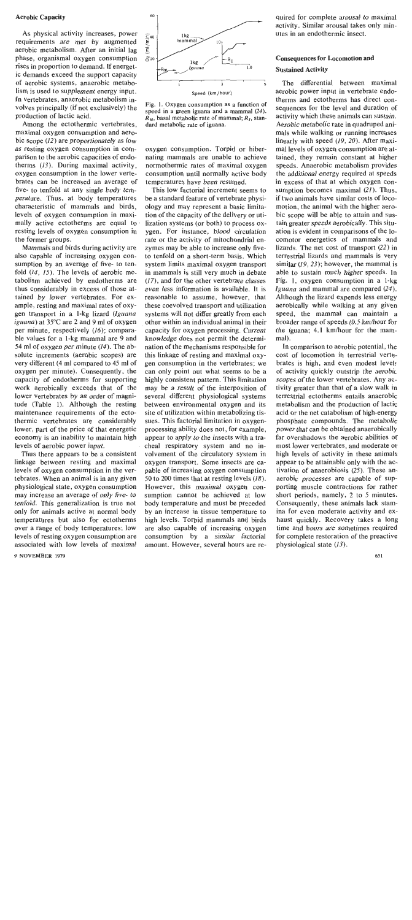#### Aerobic Capacity

As physical activity increases, power requirements are met by augmented aerobic metabolism. After an initial lag phase, organismal oxygen consumption rises in proportion to demand. If energetic demands exceed the support capacity of aerobic systems, anaerobic metabolism is used to supplement energy input. In vertebrates, anaerobic metabolism involves principally (if not exclusively) the production of lactic acid.

Among the ectothermic vertebrates, maximal oxygen consumption and aerobic scope (12) are proportionately as low as resting oxygen consumption in comparison to the aerobic capacities of endotherms (13). During maximal activity, oxygen consumption in the lower vertebrates can be increased an average of five- to tenfold at any single body temperature. Thus, at body temperatures characteristic of mammals and birds, levels of oxygen consumption in maximally active ectotherms are equal to resting levels of oxygen consumption in the former groups.

Mammals and birds during activity are also capable of increasing oxygen consumption by an average of five- to tenfold (14, 15). The levels of aerobic metabolism achieved by endotherms are thus considerably in excess of those attained by lower vertebrates. For example, resting and maximal rates of oxygen transport in a I-kg lizard (Iguana iguana) at 35°C are 2 and 9 ml of oxygen per minute, respectively (16); comparable values for a 1-kg mammal are 9 and 54 ml of oxygen per minute (14). The absolute increments (aerobic scopes) are very different (4 ml compared to 45 ml of oxygen per minute). Consequently, the capacity of endotherms for supporting work aerobically exceeds that of the lower vertebrates by an order of magnitude (Table 1). Although the resting maintenance requirements of the ectothermic vertebrates are considerably lower, part of the price of that energetic economy is an inability to maintain high levels of aerobic power input.

Thus there appears to be a consistent linkage between resting and maximal levels of oxygen consumption in the vertebrates. When an animal is in any given physiological state, oxygen consumption may increase an average of only five- to tenfold. This generalization is true not only for animals active at normal body temperatures but also for ectotherms over a range of body temperatures; low levels of resting oxygen consumption are associated with low levels of maximal



**Fig. 1. Oxygen consumption as a function of speed in a green iguana and a mammal (24).**   $R_M$ , basal metabolic rate of mammal;  $R_I$ , stan**dard metabolic rate of iguana.** 

oxygen consumption. Torpid or hibernating mammals are unable to achieve normothermic rates of maximal oxygen consumption until normally active body temperatures have been resumed.

This low factorial increment seems to be a standard feature of vertebrate physiology and may represent a basic limitation of the capacity of the delivery or utilization systems (or both) to process oxygen. For instance, **blood** circulation rate or the activity of mitochondrial enzymes may be able to increase only fiveto tenfold on a short-term basis. Which system limits maximal oxygen transport in mammals is still very much in debate (17), and for the other vertebrate classes even less information is available. It is reasonable to assume, however, that these coevolved transport and utilization systems will not differ greatly from each other within an individual animal in their capacity for oxygen processing. Current knowledge does not permit the determination of the mechanisms responsible for this linkage of resting and maximal oxygen consumption in the vertebrates; we can only point out what seems to be a highly consistent pattern. This limitation may be a result of the interposition of several different physiological systems between environmental oxygen and its site of utilization within metabolizing tissues. This factorial limitation in oxygenprocessing ability does not, for example, appear to apply to the insects with a tracheal respiratory system and no involvement of the circulatory system in oxygen transport. Some insects are capable of increasing oxygen consumption 50 to 200 times that at resting levels (18). However, this maximal oxygen consumption cannot be achieved at low body temperature and must be preceded by an increase in tissue temperature to high levels. Torpid mammals and birds are also capable of increasing oxygen consumption by a similar factorial amount. However, several hours are required for complete arousal to maximal activity. Similar arousal takes only minutes in an endothermic insect.

## Consequences for Locomotion and Sustained Activity

The differential between maximal aerobic power input in vertebrate endotherms and ectotherms has direct consequences for the level and duration of activity which these animals can sustain. Aerobic metabolic rate in quadruped animals while walking or running increases linearly with speed (19, 20). After maximal levels of oxygen consumption are attained, they remain constant at higher speeds. Anaerobic metabolism provides the additional energy required at speeds in excess of that at which oxygen consumption becomes maximal (21). Thus, if two animals have similar costs of locomotion, the animal with the higher aerobic scope will be able to attain and sustain greater speeds aerobically. This situation is evident in comparisons of the locomotor energetics of mammals and lizards. The net cost of transport (22) in terrestrial lizards and mammals is very similar (19, 23); however, the mammal is able to sustain much higher speeds. In Fig. I, oxygen consumption in a 1-kg Iguana and mammal are compared (24). Although the lizard expends less energy aerobically while walking at any given speed, the mammal can maintain a broader range of speeds (0.5 km/hour for the iguana; 4.1 km/hour for the mammal).

In comparison to aerobic potential, the cost of locomotion in terrestrial vertebrates is high, and even modest level: of activity quickly outstrip the aerobic scopes of the lower vertebrates. Any activity greater than that of a slow walk in terrestrial ectotherms entails anaerobic metabolism and the production of lactic acid or the net catabolism of high-energy phosphate compounds. The metabolic power that can be obtained anaerobically far overshadows the aerobic abilities of most lower vertebrates, and moderate or high levels of activity in these animals appear to be attainable only with the activation of anaerobiosis (25). These anaerobic processes are capable of supporting muscle contractions for rather short periods, namely, 2 to 5 minutes. Consequently, these animals lack stamina for even moderate activity and exhaust quickly. Recovery takes a long time and hours are sometimes required for complete restoration of the preactive physiological state  $(13)$ .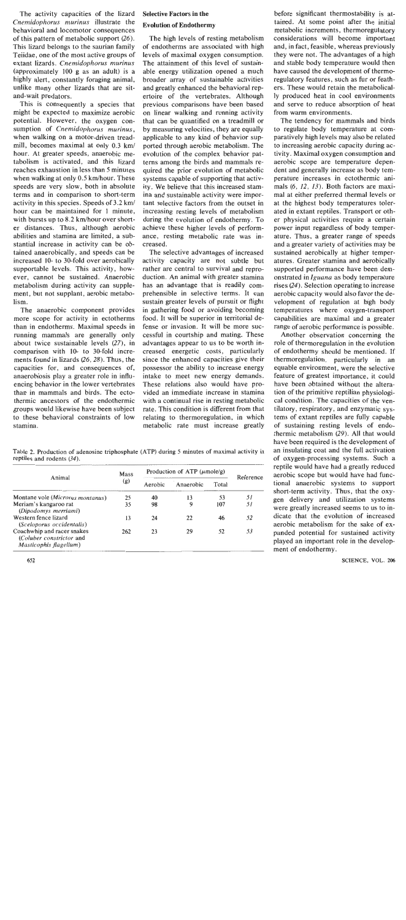The activity capacities of the lizard Cnemidophorus murinus illustrate the behavioral and locomotor consequences of this pattern of metabolic support (26). This lizard belongs to the saurian family Teiidae, one of the most active groups of extant lizards. Cnemidophorus murinus (approximately 100 g as an adult) is a highly alert, constantly foraging animal, unlike many other lizards that are sitand-wait predators.

This is consequently a species that might be expected to maximize aerobic potential. However, the oxygen consumption of *Cnemidophorus murinus*, when walking on a motor-driven treadmill, becomes maximal at only 0.3 km/ hour. At greater speeds, anaerobic metabolism is activated, and this lizard reaches exhaustion in less than 5 minutes when walking at only  $0.5$  km/hour. These speeds are very slow, both in absolute terms and in comparison to short-term activity in this species. Speeds of 3.2 km/ hour can be maintained for 1 minute, with bursts up to 8.2 km/hour over shorter distances. Thus, although aerobic abilities and stamina are limited, a substantial increase in activity can be obtained anaerobically, and speeds can be increased 10- to 30-fold over aerobically supportable levels. This activity, however, cannot be sustained. Anaerobic metabolism during activity can supplement, but not supplant, aerobic metabolism.

The anaerobic component provides more scope for activity in ectotherms than in endotherms. Maximal speeds in running mammals are generally only about twice sustainable levels (27), in comparison with 10- to 30-fold increments found in lizards  $(26, 28)$ . Thus, the capacities for, and consequences of, anaerobiosis play a greater role in influencing behavior in the lower vertebrates than in mammals and birds. The ectothermic ancestors of the endothermic groups would likewise have been subject to these behavioral constraints of low stamina.

## Selective Factors in the

## Evolution of Endothermy

The high levels of resting metabolism of endotherms are associated with high levels of maximal oxygen consumption. The attainment of this level of sustainable energy utilization opened a much broader array of sustainable activities and greatly enhanced the behavioral repertoire of the vertebrates. Although previous comparisons have been based on linear walking and running activity that can be quantified on a treadmill or by measuring velocities, they are equally applicable to any kind of behavior supported through aerobic metabolism. The evolution of the complex behavior patterns among the birds and mammals required the prior evolution of metabolic systems capable of supporting that activity. We believe that this increased stamina and sustainable activity were important selective factors from the outset in increasing resting levels of metabolism during the evolution of endothermy. To achieve these higher levels of performance, resting metabolic rate was increased.

The selective advantages of increased activity capacity are not subtle but rather are central to survival and reproduction. An animal with greater stamina has an advantage that is readily comprehensible in selective terms. It can sustain greater levels of pursuit or flight in gathering food or avoiding becoming food. It will be superior in territorial defense or invasion. It will be more successful in courtship and mating. These advantages appear to us to be worth increased energetic costs, particularly since the enhanced capacities give their possessor the ability to increase energy intake to meet new energy demands. These relations also would have provided an immediate increase in stamina with a continual rise in resting metabolic rate. This condition is different from that relating to thermoregulation, in which metabolic rate must increase greatly

Table **2.** Production of adenosine triphosphate (ATP) during **5** minutes of maximal activity in reptiles and rodents (34).

| Animal                                                                           | Mass<br>(g) | Production of ATP $(\mu \text{mole/g})$ |           |       |           |
|----------------------------------------------------------------------------------|-------------|-----------------------------------------|-----------|-------|-----------|
|                                                                                  |             | Aerobic                                 | Anaerobic | Total | Reference |
| Montane vole (Microtus montanus)                                                 | 25          | 40                                      | 13        | 53    | 51        |
| Meriam's kangaroo rat<br>(Dipodomys merriami)                                    | 35          | 98                                      | 9         | 107   | 51        |
| Western fence lizard<br>(Sceloporus occidentalis)                                | 13          | 24                                      | 22        | 46    | 52        |
| Coachwhip and racer snakes<br>(Coluber constrictor and<br>Masticophis flagellum) | 262         | 23                                      | 29        | 52    | 53        |

before significant thermostability is attained. At some point after the initial metabolic increments, thermoregulatory considerations will become important and, in fact, feasible, whereas previously they were not. The advantages of a high and stable body temperature would then have caused the development of thermoregulatory features, such as fur or feathers. These would retain the metabolically produced heat in cool environments and serve to reduce absorption of heat from warm environments.

The tendency for mammals and birds to regulate body temperature at comparatively high levels may also be related to increasing aerobic capacity during activity. Maximal oxygen consumption and aerobic scope are temperature dependent and generally increase as body temperature increases in ectothermic animals (6, 12, 13). Both factors are maximal at either preferred thermal levels or at the highest body temperatures tolerated in extant reptiles. Transport or other physical activities require a certain power input regardless of body temperature. Thus, a greater range of speeds and a greater variety of activities may be sustained aerobically at higher temperatures. Greater stamina and aerobically supported performance have been demonstrated in Iguana as body temperature rises (24). Selection operating to increase aerobic capacity would also favor the development of regulation at high body temperatures where oxygen-transport capabilities are maximal and a greater range of aerobic performance is possible.

Another observation concerning the role of thermoregulation in the evolution of endothermy should be mentioned. If thermoregulation, particularly in an equable environment, were the selective feature of greatest importance, it could have been obtained without the alteration of the primitive reptilian physiological condition. The capacities of the ventilatory, respiratory, and enzymatic systems of extant reptiles are fully capable of sustaining resting levels of endothermic metabolism (29). All that would have been required is the development of an insulating coat and the full activation of oxygen-processing systems. Such a reptile would have had a greatly reduced aerobic scope but would have had functional anaerobic systems to support short-term activity. Thus, that the oxygen delivery and utilization systems were greatly increased seems to us to indicate that the evolution of increased aerobic metabolism for the sake of expanded potential for sustained activity played an important role in the development of endothermy.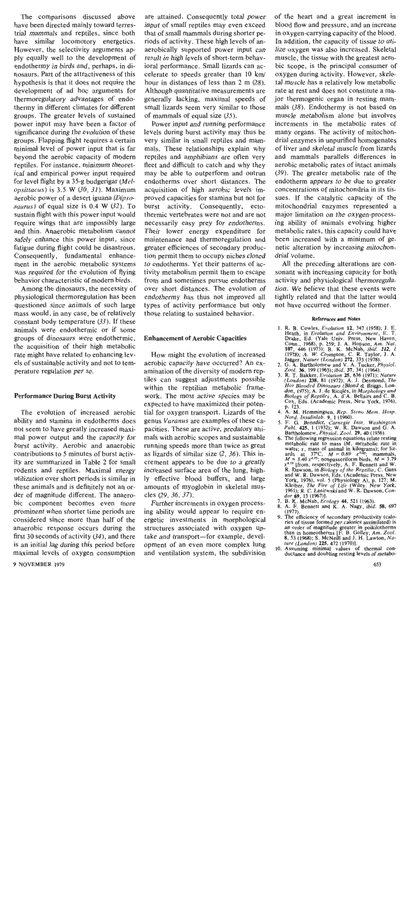The comparisons discussed above have been directed mainlv toward terrestrial mammals and reptiles, since both have similar locomotory energetics. However, the selectivity arguments apply equally well to the development of endothermy in birds and, perhaps, in dinosaurs. Part of the attractiveness of this hypothesis is that it does not require the development of ad hoc arguments for thermoregulatory advantages of endothermy in different climates for different groups. The greater levels of sustained power input may have been a factor of significance during the evolution of these groups. Flapping flight requires a certain minimal level of power input that is far beyond the aerobic capacity of modern reptiles. For instance, minimum theoretical and empirical power input required for level flight by a 35-g budgerigar *(Melopsittacus)* is 3.5 W *(30, 31).* Maximum aerobic power of a desert iguana *(Dipsosaurus)* of equal size is 0.4 W *(32).* To sustain flight with this power input would require wings that are impossibly large and thin. Anaerobic metabolism cannot safely enhance this power input, since fatigue during flight could be disastrous. Consequently, fundamental enhancement in the aerobic metabolic systems was required for the evolution of flying behavior characteristic of modem birds.

Among the dinosaurs, the necessity of physiological thermoregulation has been questioned since animals of such large mass would, in any case, be of relatively constant body temperature *(33).* If these animals were endothermic or if some groups of dinosaurs were endothermic, the acquisition of their high metabolic rate might have related to enhancing levels of sustainable activity and not to temperature regulation per se.

## **Performance During Burst Activity**

The evolution of increased aerobic ability and stamina in endotherms does not seem to have greatly increased maximal power output and the capacity for burst activity. Aerobic and anaerobic contributions to 5 minutes of burst activity are summarized in Table 2 for small rodents and reptiles. Maximal energy utilization over short periods is similar in these animals and is definitely not an order of magnitude different. The anaerobic component becomes even more prominent when shorter time periods are considered since more than half of the anaerobic response occurs during the first 30 seconds of activity *(34),* and there is an initial lag during this period before maximal levels of oxygen consumption

are attained. Consequently total power input of small reptiles may even exceed that of small mammals during shorter periods of activity. These high levels of anaerobically supported power input can result in high levels of short-term behavioral performance. Small lizards can accelerate to speeds greater than 10 km/ hour in distances of less than 2 m *(28).*  Although quantitative measurements are generally lacking, maximal speeds of small lizards seem very similar to those of mammals of equal size *(35).* 

Power input and running performance levels during burst activity may thus be very similar in small reptiles and mammals. These relationships explain why reptiles and amphibians are often very fleet and difficult to catch and why they may be able to outperform and outrun endotherms over short distances. The acquisition of high aerobic levels improved capacities for stamina but not for burst activity. Consequently, ectothermic vertebrates were not and are not necessarily easy prey for endotherms. Their lower energy expenditure for maintenance and thermoregulation and greater efficiences of secondary production permit them to occupy niches closed to endotherms. Yet their patterns of activity metabolism permit them to escape from and sometimes pursue endotherms over short distances. The evolution of endothermy has thus not improved all types of activity performance but only those relating to sustained behavior.

## **Enhancement of Aerobic Capacities**

How might the evolution of increased aerobic capacity have occurred? An examination of the diversity of modem reptiles can suggest adjustments possible within the reptilian metabolic framework. The most active species may be expected to have maximized their potential for oxygen transport. Lizards of the genus *Varanus* are examples of these capacities. These are active, predatory animals with aerobic scopes and sustainable running speeds more than twice as great as lizards of similar size *(2, 36).* This increment appears to be due to a greatly increased surface area of the lung, highly effective blood buffers, and large amounts of myoglobin in skeletal muscles (29, *36, 37).* 

Further increments in oxygen processing ability would appear to require energetic investments in morphological structures associated with oxygen uptake and transport-for example, development of an even more complex lung and ventilation system, the subdivision of the heart and a great increment in blood flow and pressure. and an increase in oxygen-carrying capacity of the blood. In addition, the capacity of tissue to utilize oxygen was also increased. Skeletal muscle, the tissue with the greatest aerobic scope, is the principal consumer of oxygen during activity. However, skeletal muscle has a relatively low metabolic rate at rest and does not constitute a major thermogenic organ in resting mammals *(38).* Endothermy is not based on muscle metabolism alone but involves increments in the metabolic rates of many organs. The activity of mitochondrial enzymes in unpurified homogenates of liver and skeletal muscle from lizards and mammals parallels differences in aerobic metabolic rates of intact animals *(39).* The greater metabolic rate of the endotherm appears to be due to greater concentrations of mitochondria in its tissues. If the catalytic capacity of the mitochondrial enzymes represented a major limitation on the oxygen-processing ability of animals evolving higher metabolic rates, this capacity could have been increased with a minimum of genetic alteration by increasing mitochondrial volume.

All the preceding alterations are consonant with increasing capacity for both activity and physiological thermoregulation. We believe that these events were tightly related and that the latter would not have occurred without the former.

#### **References and Notes**

- **I. R. B. Cowles,** *Evolution* **12, 347 (1958); I. E. Heath, in** *Evolurion and Environmenr,* **E.** *T.*  **Drake, Ed. (Yale Univ. Press, New Haven,**  Conn., 1968), p. 259; J. A. Hopson, Am. Nat.<br>107, 446 (1973); B. K. McNab, *ibid.* 112, 1<br>(1978); A. W. Crompton, C. R. Taylor, J. A.<br>Jagger, Nature (London) 272, 333 (1978).<br>2. G. A. Bartholomew and V. A. Tucker, *Physiol*
- 
- **3. R. T. Bakker,** *Evolution* **25, 636 (1971);** *Nature (london) 238, 81* **(1972); A. J. Desmond,** *The Hot Blooded Dmosaurs* **(Blond** & **Briggs, Lon**don, 1975); A. J. de Ricqlès, in *Morphology and Biology of Reptiles,* A. d'A. Bellairs and C. B. **Cox, Eds. (Academic Press, New York, 1976). p. 123. 4. A. M. Hemmingsen,** *Rep. Steno Mem. Hosp.*
- *Nord. Insulinlab. 9,* **1 (1960).**
- **5. F. G. Benedict,** *Carnegie Inst. Washington Publ. 425,* **1 (1932); W. R. Dawson and** *G.* **A. Bartholomew,** *Physiol. Zool.* **29,** *40* **(1956).**
- **6. The following regression equations relate resting**  metabolic rate to mass  $(M, \text{metabolic rate in } \text{watts } x, \text{ mass of animal in kilograms); for liz-  
ards at 37°C,  $M = 0.69 x^{3/2}$ ; mammals,  
 $M = 3.40 x^{0.75}$ ; nonpasseriform birds,  $M = 3.79$   
 $\mathbb{R}^0$ . Dawson, respectively, A. F. Bennet and W.   
R. Dawson, in *Biology of the Repillian*, C. Gans  
and W. R. Dawson, Eds. (Academic Press, New  
Yorkeliber, *The Fire of Life* (Wiley, New York$ **1961); R. C. Lasiewski and W. R. Dawson,** *Con-*
- 
- *dor* **69**, 13 (1967)].<br> **7. B. K. McNab**, *Ecology* **44**, 521 (1963).<br> **8. A. F. Bennett and K. A. Nagy,** *ibid.* **58, 697 (1977). 9. The efficiency of secondary productivity (calo-**
- ries of tissue formed per calories assimilated) is<br>an order of magnitude greater in poikilotherms<br>than in homeotherms [F. B. Golley, Am. Zool.<br>8, 53 (1968); S. McNeill and J. H. Lawton, Na-<br>utre (London) 225, 472 (1970)].
- **10. Assuming minimal values of thermal con- ductance and doubling resting levels of metabo-**